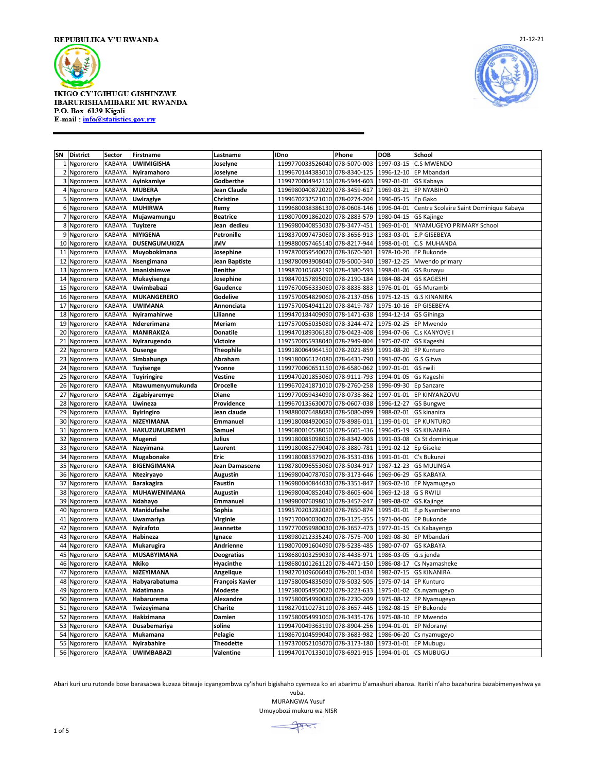



| SN             | <b>District</b>        | Sector           | Firstname                         | Lastname                   | <b>IDno</b>                                                    | Phone        | <b>DOB</b>               | School                                 |
|----------------|------------------------|------------------|-----------------------------------|----------------------------|----------------------------------------------------------------|--------------|--------------------------|----------------------------------------|
| 1              | Ngororero              | KABAYA           | <b>UWIMIGISHA</b>                 | Joselyne                   | 1199770033526040                                               | 078-5070-003 | 1997-03-15               | <b>C.S MWENDO</b>                      |
| $\overline{2}$ | Ngororero              | <b>KABAYA</b>    | Nyiramahoro                       | Joselyne                   | 1199670144383010 078-8340-125                                  |              | 1996-12-10               | EP Mbandari                            |
| 3              | Ngororero              | <b>KABAYA</b>    | Ayinkamiye                        | Godberthe                  | 1199270004942150 078-5944-603                                  |              | 1992-01-01               | GS Kabaya                              |
| 4              | Ngororero              | KABAYA           | <b>MUBERA</b>                     | Jean Claude                | 1196980040872020 078-3459-617                                  |              | 1969-03-21               | EP NYABIHO                             |
| 5              | Ngororero              | KABAYA           | Uwiragiye                         | <b>Christine</b>           | 1199670232521010 078-0274-204                                  |              | 1996-05-15               | Ep Gako                                |
| 6              | Ngororero              | <b>KABAYA</b>    | <b>MUHIRWA</b>                    | Remy                       | 1199680038386130 078-0608-146                                  |              | 1996-04-01               | Centre Scolaire Saint Dominique Kabaya |
| $\overline{7}$ | Ngororero              | KABAYA           | Mujawamungu                       | <b>Beatrice</b>            | 1198070091862020 078-2883-579                                  |              | 1980-04-15               | <b>GS Kajinge</b>                      |
| 8              | Ngororero              | KABAYA           | <b>Tuyizere</b>                   | Jean dedieu                | 1196980040853030 078-3477-451                                  |              | 1969-01-01               | NYAMUGEYO PRIMARY School               |
| 9              | Ngororero              | <b>KABAYA</b>    | NIYIGENA                          | Petronille                 | 1198370097473060 078-3656-913                                  |              | 1983-03-01               | <b>E.P GISEBEYA</b>                    |
| 10             | Ngororero              | KABAYA           | DUSENGUMUKIZA                     | <b>JMV</b>                 | 1199880057465140 078-8217-944                                  |              | 1998-01-01               | C.S MUHANDA                            |
| 11             | Ngororero              | KABAYA           | Muyobokimana                      | Josephine                  | 1197870059540020 078-3670-301                                  |              | 1978-10-20               | EP Bukonde                             |
| 12             | Ngororero              | KABAYA           | Nsengimana                        | Jean Baptiste              | 1198780093908040 078-5000-340                                  |              | 1987-12-25               | Mwendo primary                         |
| 13             | Ngororero              | KABAYA           | Imanishimwe                       | <b>Benithe</b>             | 1199870105682190 078-4380-593                                  |              | 1998-01-06               | <b>GS Runayu</b>                       |
| 14             | Ngororero              | <b>KABAYA</b>    | Mukayisenga                       | Josephine                  | 1198470157895090 078-2190-184                                  |              | 1984-08-24               | <b>GS KAGESHI</b>                      |
| 15             | Ngororero              | KABAYA           | Uwimbabazi                        | Gaudence                   | 1197670056333060 078-8838-883                                  |              | 1976-01-01               | <b>GS Murambi</b>                      |
| 16             | Ngororero              | <b>KABAYA</b>    | <b>MUKANGERERO</b>                | Godelive                   | 1197570054829060 078-2137-056                                  |              | 1975-12-15               | <b>G.S KINANIRA</b>                    |
| 17             | Ngororero              | KABAYA           | UWIMANA                           | Annonciata                 | 1197570054941120 078-8419-787                                  |              | 1975-10-16               | EP GISEBEYA                            |
| 18             | Ngororero              | KABAYA           | Nyiramahirwe                      | Lilianne                   | 1199470184409090 078-1471-638                                  |              | 1994-12-14               | GS Gihinga                             |
| 19             | Ngororero              | KABAYA           | Ndererimana                       | Meriam                     | 1197570055035080 078-3244-472                                  |              | 1975-02-25               | EP Mwendo                              |
| 20             | Ngororero              | KABAYA           | MANIRAKIZA                        | Donatile                   | 1199470189306180                                               | 078-0423-408 | 1994-07-06               | C.s KANYOVE                            |
| 21             | Ngororero              | KABAYA           | Nyirarugendo                      | Victoire                   | 1197570055938040 078-2949-804                                  |              | 1975-07-07               | GS Kageshi                             |
| 22             | Ngororero              | <b>KABAYA</b>    | <b>Dusenge</b>                    | <b>Theophile</b>           | 1199180064964150 078-2021-859                                  |              | 1991-08-20               | <b>EP Kunturo</b>                      |
| 23             | Ngororero              | KABAYA           | Simbahunga                        | Abraham                    | 1199180066124080 078-6431-790                                  |              | 1991-07-06               | G.S Gitwa                              |
| 24             | Ngororero              | KABAYA           | Tuyisenge                         | Yvonne                     | 1199770060651150 078-6580-062                                  |              | 1997-01-01               | GS rwili                               |
| 25             | Ngororero              | KABAYA           | <b>Tuyiringire</b>                | Vestine                    | 1199470201853060 078-9111-793                                  |              | 1994-01-05               | Gs Kageshi                             |
| 26             | Ngororero              | KABAYA           | Ntawumenyumukunda                 | <b>Drocelle</b>            | 1199670241871010 078-2760-258                                  |              | 1996-09-30               | Ep Sanzare                             |
| 27             | Ngororero              | KABAYA           | Zigabiyaremye                     | Diane                      | 1199770059434090 078-0738-862                                  |              | 1997-01-01               | EP KINYANZOVU                          |
| 28             | Ngororero              | KABAYA           | Uwineza                           | Providence                 | 1199670135630070 078-0607-038                                  |              | 1996-12-27               | <b>GS Bungwe</b>                       |
| 29             | Ngororero              | KABAYA           | <b>Byiringiro</b>                 | Jean claude                | 1198880076488080                                               | 078-5080-099 | 1988-02-01               | GS kinanira                            |
| 30             | Ngororero              | KABAYA           | NIZEYIMANA                        | Emmanuel                   | 1199180084920050 078-8986-011                                  |              | 1199-01-01               | <b>EP KUNTURO</b>                      |
| 31             | Ngororero              | KABAYA           | HAKUZUMUREMYI                     | Samuel                     | 1199680010538050 078-5605-436                                  |              | 1996-05-19               | <b>GS KINANIRA</b>                     |
| 32             | Ngororero              | KABAYA           | Mugenzi                           | Julius                     | 1199180085098050 078-8342-903                                  |              | 1991-03-08               | Cs St dominique                        |
| 33             | Ngororero              | KABAYA           | Nzeyimana                         | Laurent                    | 1199180085279040                                               | 078-3880-781 | 1991-02-12               | Ep Giseke                              |
| 34             | Ngororero              | KABAYA           | Mugabonake                        | Eric                       | 1199180085379020 078-3531-036                                  |              | 1991-01-01               | C's Bukunzi                            |
| 35             | Ngororero              | <b>KABAYA</b>    | BIGENGIMANA                       | Jean Damascene             | 1198780096553060 078-5034-917                                  |              | 1987-12-23               | <b>GS MULINGA</b>                      |
| 36<br>37       | Ngororero              | KABAYA<br>KABAYA | Nteziryayo                        | <b>Augustin</b><br>Faustin | 1196980040787050 078-3173-646<br>1196980040844030 078-3351-847 |              | 1969-06-29<br>1969-02-10 | <b>GS KABAYA</b>                       |
| 38             | Ngororero<br>Ngororero | KABAYA           | <b>Barakagira</b><br>MUHAWENIMANA | <b>Augustin</b>            | 1196980040852040 078-8605-604                                  |              | 1969-12-18               | EP Nyamugeyo<br><b>G S RWILI</b>       |
| 39             | Ngororero              | <b>KABAYA</b>    | Ndahayo                           | Emmanuel                   | 1198980076098010 078-3457-247                                  |              | 1989-08-02               | GS.Kajinge                             |
| 40             | Ngororero              | KABAYA           | Manidufashe                       | Sophia                     | 1199570203282080 078-7650-874                                  |              | 1995-01-01               | E.p Nyamberano                         |
| 41             | Ngororero              | <b>KABAYA</b>    | Uwamariya                         | Virginie                   | 1197170040030020 078-3125-355                                  |              | 1971-04-06               | EP Bukonde                             |
| 42             | Ngororero              | KABAYA           | Nyirafoto                         | Jeannette                  | 1197770059980030 078-3657-473                                  |              | 1977-01-15               | Cs Kabayengo                           |
| 43             | Ngororero              | KABAYA           | Habineza                          | Ignace                     | 1198980212335240 078-7575-700                                  |              | 1989-08-30               | EP Mbandari                            |
| 44             | Ngororero              | <b>KABAYA</b>    | Mukarugira                        | Andrienne                  | 1198070091604090 078-5238-485                                  |              | 1980-07-07               | <b>GS KABAYA</b>                       |
| 45             | Ngororero              | KABAYA           | <b>MUSABYIMANA</b>                | <b>Deogratias</b>          | 1198680103259030 078-4438-971                                  |              | 1986-03-05               | G.s jenda                              |
| 46             | Ngororero              | KABAYA           | Nkiko                             | Hyacinthe                  | 1198680101261120 078-4471-150                                  |              | 1986-08-17               | Cs Nyamasheke                          |
| 47             | Ngororero              | KABAYA           | NIZEYIMANA                        | Angelique                  | 1198270109606040 078-2011-034                                  |              | 1982-07-15               | <b>GS KINANIRA</b>                     |
| 48             | Ngororero              | <b>KABAYA</b>    | Habyarabatuma                     | François Xavier            | 1197580054835090 078-5032-505                                  |              | 1975-07-14               | <b>EP Kunturo</b>                      |
| 49             | Ngororero              | <b>KABAYA</b>    | Ndatimana                         | Modeste                    | 1197580054950020 078-3223-633                                  |              | 1975-01-02               | Cs.nyamugeyo                           |
| 50             | Ngororero              | <b>KABAYA</b>    | Habarurema                        | Alexandre                  | 1197580054990080 078-2230-209                                  |              | 1975-08-12               | EP Nyamugeyo                           |
| 51             | Ngororero              | <b>KABAYA</b>    | Twizeyimana                       | Charite                    | 1198270110273110 078-3657-445                                  |              | 1982-08-15               | EP Bukonde                             |
| 52             | Ngororero              | <b>KABAYA</b>    | Hakizimana                        | Damien                     | 1197580054991060 078-3435-176                                  |              | 1975-08-10               | EP Mwendo                              |
| 53             | Ngororero              | <b>KABAYA</b>    | Dusabemariya                      | soline                     | 1199470049363190 078-8904-256                                  |              | 1994-01-01               | EP Ndoranyi                            |
| 54             | Ngororero              | KABAYA           | Mukamana                          | Pelagie                    | 1198670104599040                                               | 078-3683-982 | 1986-06-20               | Cs nyamugeyo                           |
| 55             | Ngororero              | KABAYA           | Nyirabahire                       | <b>Theodette</b>           | 1197370052103070 078-3173-180                                  |              | 1973-01-01 EP Mubugu     |                                        |
|                | 56 Ngororero           | KABAYA           | <b>UWIMBABAZI</b>                 | Valentine                  | 1199470170133010 078-6921-915                                  |              |                          | 1994-01-01 CS MUBUGU                   |

Abari kuri uru rutonde bose barasabwa kuzaza bitwaje icyangombwa cy'ishuri bigishaho cyemeza ko ari abarimu b'amashuri abanza. Itariki n'aho bazahurira bazabimenyeshwa ya

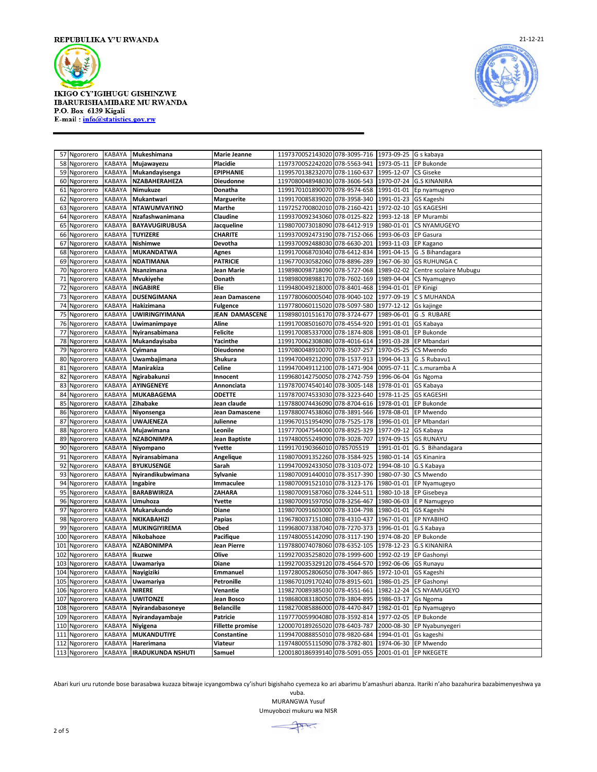



|            | 57 Ngororero           | <b>KABAYA</b>    | Mukeshimana                | Marie Jeanne             | 1197370052143020 078-3095-716                                     | 1973-09-25 G s kabaya               |                                           |
|------------|------------------------|------------------|----------------------------|--------------------------|-------------------------------------------------------------------|-------------------------------------|-------------------------------------------|
|            | 58 Ngororero           | KABAYA           | Mujawayezu                 | Placidie                 | 1197370052242020<br>078-5563-941                                  |                                     | 1973-05-11 EP Bukonde                     |
|            | 59 Ngororero           | KABAYA           | Mukandayisenga             | <b>EPIPHANIE</b>         | 1199570138232070 078-1160-637                                     | 1995-12-07                          | <b>CS Giseke</b>                          |
|            | 60 Ngororero           | KABAYA           | NZABAHERAHEZA              | Dieudonne                | 1197080048948030 078-3606-543                                     | 1970-07-24                          | <b>G.S KINANIRA</b>                       |
|            | 61 Ngororero           | KABAYA           | Nimukuze                   | Donatha                  | 1199170101890070 078-9574-658                                     |                                     | 1991-01-01 Ep nyamugeyo                   |
| 62         | Ngororero              | KABAYA           | Mukantwari                 | <b>Marguerite</b>        | 1199170085839020 078-3958-340                                     | 1991-01-23                          | <b>GS Kageshi</b>                         |
| 63         | Ngororero              | KABAYA           | <b>NTAWUMVAYINO</b>        | Marthe                   | 1197252700802010 078-2160-421                                     | 1972-02-10                          | <b>GS KAGESHI</b>                         |
|            | 64 Ngororero           | KABAYA           | Nzafashwanimana            | Claudine                 | 1199370092343060 078-0125-822                                     | 1993-12-18                          | <b>EP Murambi</b>                         |
| 65         | Ngororero              | KABAYA           | <b>BAYAVUGIRUBUSA</b>      | Jacqueline               | 1198070073018090<br>078-6412-919                                  | 1980-01-01                          | CS NYAMUGEYO                              |
| 66         | Ngororero              | KABAYA           | <b>TUYIZERE</b>            | <b>CHARITE</b>           | 1199370092473190 078-7152-066                                     | 1993-06-03                          | <b>EP Gasura</b>                          |
| 67         | Ngororero              | KABAYA           | Nishimwe                   | Devotha                  | 1199370092488030 078-6630-201                                     | 1993-11-03                          | EP Kagano                                 |
| 68         | Ngororero              | KABAYA           | <b>MUKANDATWA</b>          | Agnes                    | 1199170068703040<br>078-6412-834                                  | 1991-04-15                          | G.S Bihandagara                           |
|            | 69 Ngororero           | KABAYA           | <b>NDATIMANA</b>           | <b>PATRICIE</b>          | 1196770030582060 078-8896-289                                     |                                     | 1967-06-30 GS RUHUNGA C                   |
|            | 70 Ngororero           | KABAYA           | Nsanzimana                 | Jean Marie               | 1198980098718090 078-5727-068                                     | 1989-02-02                          | Centre scolaire Mubugu                    |
| 71         | Ngororero              | KABAYA           | Mvukiyehe                  | Donath                   | 1198980098988170 078-7602-169                                     | 1989-04-04                          | CS Nyamugeyo                              |
|            | 72 Ngororero           | KABAYA           | <b>INGABIRE</b>            | Elie                     | 1199480049218000<br>078-8401-468                                  | 1994-01-01 EP Kinigi                |                                           |
|            | 73 Ngororero           | KABAYA           | <b>DUSENGIMANA</b>         | Jean Damascene           | 1197780060005040 078-9040-102                                     | 1977-09-19                          | C S MUHANDA                               |
|            | 74 Ngororero           | KABAYA           | Hakizimana                 | Fulgence                 | 1197780060115020 078-5097-580                                     | 1977-12-12                          | Gs kajinge                                |
| 75         | Ngororero              | KABAYA           | <b>UWIRINGIYIMANA</b>      | JEAN DAMASCENE           | 1198980101516170 078-3724-677                                     | 1989-06-01                          | <b>G.S RUBARE</b>                         |
|            | 76 Ngororero           | KABAYA           | Uwimanimpaye               | Aline                    | 1199170085016070 078-4554-920                                     | 1991-01-01 GS Kabaya                |                                           |
| 77         | Ngororero              | KABAYA           | Nyiransabimana             | <b>Felicite</b>          | 1199170085337000 078-1874-808                                     |                                     | 1991-08-01 EP Bukonde                     |
|            | 78 Ngororero           | KABAYA           | Mukandayisaba              | Yacinthe                 | 1199170062308080 078-4016-614                                     | 1991-03-28                          | <b>EP Mbandari</b>                        |
|            | 79 Ngororero           | KABAYA           | Cyimana                    | Dieudonne                | 1197080048910070 078-3507-257                                     | 1970-05-25                          | CS Mwendo                                 |
|            | 80 Ngororero           | KABAYA           | Uwambajimana               | Shukura                  | 1199470049212090<br>078-1537-913                                  |                                     | 1994-04-13 G .S Rubavu1                   |
| 81         | Ngororero              | KABAYA           | Manirakiza                 | Celine                   | 1199470049112100 078-1471-904                                     | 0095-07-11                          | C.s.muramba A                             |
| 82         | Ngororero              | KABAYA           | Ngirabakunzi               | Innocent                 | 1199680142750050 078-2742-759                                     | 1996-06-04 Gs Ngoma                 |                                           |
| 83         | Ngororero              | KABAYA           | <b>AYINGENEYE</b>          | Annonciata               | 1197870074540140<br>078-3005-148                                  | 1978-01-01                          | GS Kabaya                                 |
| 84         | Ngororero              | KABAYA           | <b>MUKABAGEMA</b>          | <b>ODETTE</b>            | 1197870074533030 078-3223-640                                     | 1978-11-25                          | <b>GS KAGESHI</b>                         |
| 85         | Ngororero              | KABAYA           | Zihabake                   | Jean claude              | 1197880074436090 078-8704-616                                     | 1978-01-01                          | <b>EP Bukonde</b>                         |
|            | 86 Ngororero           | KABAYA           | Niyonsenga                 | Jean Damascene           | 1197880074538060<br>078-3891-566                                  | 1978-08-01                          | <b>EP Mwendo</b>                          |
| 87         | Ngororero              | KABAYA           | <b>UWAJENEZA</b>           | Julienne                 | 1199670151954090<br>078-7525-178                                  | 1996-01-01                          | <b>EP Mbandari</b>                        |
|            | 88 Ngororero           | KABAYA           | Mujawimana                 | Leonile                  | 1197770047544000 078-8925-329                                     | 1977-09-12 GS Kabaya                |                                           |
| 89         | Ngororero              | KABAYA           | <b>NZABONIMPA</b>          | <b>Jean Baptiste</b>     | 1197480055249090 078-3028-707                                     | 1974-09-15                          | <b>GS RUNAYU</b>                          |
|            | 90 Ngororero           | KABAYA           | Niyompano                  | Yvette                   | 1199170190366010 0785705519                                       | 1991-01-01                          | G. S Bihandagara                          |
| 91         | Ngororero              | KABAYA           | Nyiransabimana             | Angelique                | 1198070091352260 078-3584-925                                     |                                     | 1980-01-14 GS Kinanira                    |
| 92         | Ngororero              | KABAYA           | <b>BYUKUSENGE</b>          | Sarah                    | 1199470092433050 078-3103-072                                     | 1994-08-10                          | G.S Kabaya                                |
|            | 93 Ngororero           | KABAYA           | Nyirandikubwimana          | Sylvanie                 | 1198070091440010 078-3517-390                                     | 1980-07-30                          | <b>CS Mwendo</b>                          |
| 94         | Ngororero              | KABAYA           | Ingabire                   | Immaculee                | 1198070091521010 078-3123-176                                     | 1980-01-01                          | EP Nyamugeyo                              |
| 95         | Ngororero              | KABAYA           | <b>BARABWIRIZA</b>         | ZAHARA                   | 1198070091587060 078-3244-511                                     | 1980-10-18                          | EP Gisebeya                               |
|            | 96 Ngororero           | KABAYA           | Umuhoza                    | Yvette                   | 1198070091597050 078-3256-467                                     |                                     | 1980-06-03 E P Namugeyo                   |
| 97         | Ngororero              | KABAYA           | Mukarukundo                | Diane                    | 1198070091603000 078-3104-798                                     | 1980-01-01                          | <b>GS Kageshi</b>                         |
| 98         | Ngororero              | KABAYA           | NKIKABAHIZI                | Papias                   | 1196780037151080 078-4310-437                                     | 1967-01-01                          | <b>EP NYABIHO</b>                         |
| 99         | Ngororero              | KABAYA           | MUKINGIYIREMA              | Obed                     | 1199680073387040<br>078-7270-373                                  | 1996-01-01 G.S Kabaya               |                                           |
|            | 100 Ngororero          | KABAYA           | Nikobahoze                 | Pacifique                | 1197480055142090 078-3117-190                                     | 1974-08-20<br>1978-12-23            | <b>EP Bukonde</b>                         |
| 101        | Ngororero              | KABAYA           | <b>NZABONIMPA</b>          | Jean Pierre              | 1197880074078060 078-6352-105                                     |                                     | <b>G.S KINANIRA</b>                       |
| 102        | Ngororero              | KABAYA           | Ikuzwe                     | Olive                    | 1199270035258020<br>078-1999-600                                  | 1992-02-19                          | EP Gashonyi                               |
| 103<br>104 | Ngororero<br>Ngororero | KABAYA<br>KABAYA | Uwamariya<br>Nayigiziki    | <b>Diane</b><br>Emmanuel | 1199270035329120<br>078-4564-570<br>1197280052806050 078-3047-865 | 1992-06-06<br>1972-10-01 GS Kageshi | <b>GS Runayu</b>                          |
|            |                        |                  |                            |                          | 1198670109170240 078-8915-601                                     | 1986-01-25                          |                                           |
| 105<br>106 | Ngororero<br>Ngororero | KABAYA<br>KABAYA | Uwamariya<br><b>NIRERE</b> | Petronille<br>Venantie   | 1198270089385030 078-4551-661                                     | 1982-12-24                          | <b>EP Gashonyi</b><br><b>CS NYAMUGEYO</b> |
| 107        | Ngororero              | KABAYA           | <b>UWITONZE</b>            | Jean Bosco               | 1198680083180050<br>078-3804-895                                  | 1986-03-17 Gs Ngoma                 |                                           |
| 108        | Ngororero              | KABAYA           | Nyirandabasoneye           | <b>Belancille</b>        | 1198270085886000 078-4470-847                                     | 1982-01-01                          | Ep Nyamugeyo                              |
|            | 109 Ngororero          | KABAYA           | Nyirandayambaje            | Patricie                 | 1197770059904080 078-3592-814                                     | 1977-02-05                          | <b>EP Bukonde</b>                         |
| 110        | Ngororero              | KABAYA           | Niyigena                   | <b>Fillette promise</b>  | 1200070189265020 078-6403-787                                     | 2000-08-30                          | EP Nyabunyegeri                           |
| 111        | Ngororero              | <b>KABAYA</b>    | <b>MUKANDUTIYE</b>         | Constantine              | 1199470088855010 078-9820-684                                     | 1994-01-01                          | Gs kageshi                                |
|            | 112 Ngororero          | KABAYA           | Harerimana                 | Viateur                  | 1197480055115090 078-3782-801                                     |                                     | 1974-06-30 EP Mwendo                      |
|            | 113 Ngororero          | KABAYA           | <b>IRADUKUNDA NSHUTI</b>   | Samuel                   | 1200180186939140 078-5091-055                                     |                                     | 2001-01-01 EP NKEGETE                     |

Abari kuri uru rutonde bose barasabwa kuzaza bitwaje icyangombwa cy'ishuri bigishaho cyemeza ko ari abarimu b'amashuri abanza. Itariki n'aho bazahurira bazabimenyeshwa ya

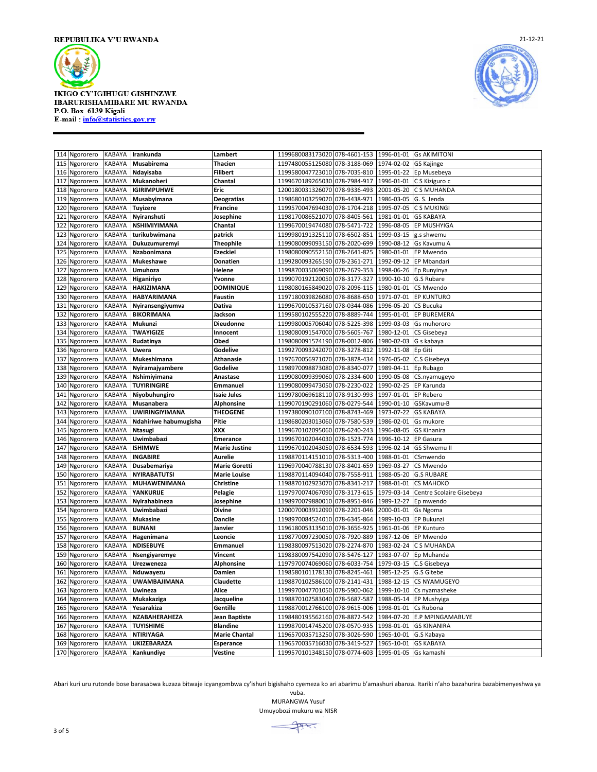



| 114 Ngororero                        | KABAYA           | Irankunda                    | Lambert                          | 1199680083173020 078-4601-153                     |              | 1996-01-01               | <b>Gs AKIMITONI</b>            |
|--------------------------------------|------------------|------------------------------|----------------------------------|---------------------------------------------------|--------------|--------------------------|--------------------------------|
| 115<br>Ngororero                     | KABAYA           | Musabirema                   | Thacien                          | 1197480055125080 078-3188-069                     |              | 1974-02-02               | GS Kajinge                     |
| 116<br>Ngororero                     | KABAYA           | Ndayisaba                    | Filibert                         | 1199580047723010 078-7035-810                     |              | 1995-01-22               | Ep Musebeya                    |
| 117<br>Ngororero                     | <b>KABAYA</b>    | Mukanoheri                   | Chantal                          | 1199670189265030 078-7984-917                     |              | 1996-01-01               | C S Kiziguro c                 |
| 118<br>Ngororero                     | KABAYA           | IGIRIMPUHWE                  | Eric                             | 1200180031326070 078-9336-493                     |              | 2001-05-20               | C S MUHANDA                    |
| 119 Ngororero                        | KABAYA           | Musabyimana                  | <b>Deogratias</b>                | 1198680103259020                                  | 078-4438-971 | 1986-03-05               | G. S. Jenda                    |
| 120 Ngororero                        | <b>KABAYA</b>    | <b>Tuyizere</b>              | <b>Francine</b>                  | 1199570047694030 078-1704-218                     |              | 1995-07-05               | C S MUKINGI                    |
| 121<br>Ngororero                     | <b>KABAYA</b>    | Nyiranshuti                  | Josephine                        | 1198170086521070 078-8405-561                     |              | 1981-01-01               | <b>GS KABAYA</b>               |
| 122<br>Ngororero                     | KABAYA           | NSHIMIYIMANA                 | Chantal                          | 1199670019474080 078-5471-722                     |              | 1996-08-05               | EP MUSHYIGA                    |
| 123<br>Ngororero                     | KABAYA           | turikubwimana                | patrick                          | 1199980191325110 078-6502-851                     |              | 1999-03-15               | g.s shwemu                     |
| 124<br>Ngororero                     | KABAYA           | Dukuzumuremyi                | <b>Theophile</b>                 | 1199080099093150 078-2020-699                     |              | 1990-08-12               | Gs Kavumu A                    |
| 125<br>Ngororero                     | <b>KABAYA</b>    | Nzabonimana                  | Ezeckiel                         | 1198080090552150 078-2641-825                     |              | 1980-01-01               | EP Mwendo                      |
| 126<br>Ngororero                     | KABAYA           | Mukeshawe                    | <b>Donatien</b>                  | 1199280093265190 078-2361-271                     |              | 1992-09-12               | EP Mbandari                    |
| 127<br>Ngororero                     | KABAYA           | Umuhoza                      | Helene                           | 1199870035069090 078-2679-353                     |              | 1998-06-26               | Ep Runyinya                    |
| 128<br>Ngororero                     | KABAYA           | Higaniriyo                   | Yvonne                           | 1199070192120050                                  | 078-3177-327 | 1990-10-10               | G.S Rubare                     |
| 129<br>Ngororero                     | KABAYA           | <b>HAKIZIMANA</b>            | <b>DOMINIQUE</b>                 | 1198080165849020 078-2096-115                     |              | 1980-01-01               | CS Mwendo                      |
| 130<br>Ngororero                     | KABAYA           | HABYARIMANA                  | Faustin                          | 1197180039826080 078-8688-650                     |              | 1971-07-01               | <b>EP KUNTURO</b>              |
| 131<br>Ngororero                     | KABAYA           | Nyiransengiyumva             | Dativa                           | 1199670010537160 078-0344-086                     |              | 1996-05-20               | CS Bucuka                      |
| 132<br>Ngororero                     | KABAYA           | <b>BIKORIMANA</b>            | Jackson                          | 1199580102555220                                  | 078-8889-744 | 1995-01-01               | EP BUREMERA                    |
| 133<br>Ngororero                     | KABAYA           | Mukunzi                      | Dieudonne                        | 1199980005706040 078-5225-398                     |              | 1999-03-03               | Gs muhororo                    |
| 134<br>Ngororero                     | KABAYA           | <b>TWAYIGIZE</b>             | Innocent                         | 1198080091547000                                  | 078-5605-767 | 1980-12-01               | CS Gisebeya                    |
| 135<br>Ngororero                     | KABAYA           | Rudatinya                    | Obed                             | 1198080091574190                                  | 078-0012-806 | 1980-02-03               | G s kabaya                     |
| 136<br>Ngororero                     | KABAYA           | Uwera                        | Godelive                         | 1199270093242070 078-3278-812                     |              | 1992-11-08               | Ep Giti                        |
| 137<br>Ngororero                     | KABAYA           | Mukeshimana                  | Athanasie                        | 1197670056971070 078-3878-434                     |              | 1976-05-02               | C.S Gisebeya                   |
| 138<br>Ngororero                     | KABAYA           | Nyiramajyambere              | Godelive                         | 1198970098873080 078-8340-077                     |              | 1989-04-11               | Ep Rubago                      |
| 139<br>Ngororero                     | KABAYA           | Nshimiyimana                 | Anastase                         | 1199080099399060 078-2334-600                     |              | 1990-05-08               | CS.nyamugeyo                   |
| 140<br>Ngororero                     | KABAYA           | <b>TUYIRINGIRE</b>           | Emmanuel                         | 1199080099473050                                  | 078-2230-022 | 1990-02-25               | EP Karunda                     |
| 141<br>Ngororero                     | <b>KABAYA</b>    | Niyobuhungiro                | Isaie Jules                      | 1199780069618110 078-9130-993                     |              | 1997-01-01               | <b>EP Rebero</b>               |
| 142<br>Ngororero                     | KABAYA           | Musanabera                   | <b>Alphonsine</b>                | 1199070190291060 078-0279-544                     |              | 1990-01-10               | GSKavumu-B                     |
| 143<br>Ngororero                     | KABAYA           | UWIRINGIYIMANA               | <b>THEOGENE</b>                  | 1197380090107100 078-8743-469                     |              | 1973-07-22               | <b>GS KABAYA</b>               |
| 144<br>Ngororero                     | KABAYA           | Ndahiriwe habumugisha        | Pitie                            | 1198680203013060                                  | 078-7580-539 | 1986-02-01               | Gs mukore                      |
| 145<br>Ngororero                     | KABAYA           | <b>Ntasugi</b>               | XXX                              | 1199670102095060 078-6240-243                     |              | 1996-08-05               | <b>GS Kinanira</b>             |
| 146<br>Ngororero                     | KABAYA           | Uwimbabazi                   | <b>Emerance</b>                  | 1199670102044030 078-1523-774                     |              | 1996-10-12               | <b>EP Gasura</b>               |
| Ngororero<br>147                     | KABAYA           | <b>ISHIMWE</b>               | <b>Marie Justine</b>             | 1199670102043050 078-6534-593                     |              | 1996-02-14               | <b>GS Shwemu II</b>            |
| 148<br>Ngororero                     | KABAYA           | <b>INGABIRE</b>              | Aurelie                          | 1198870114151010 078-5313-400                     |              | 1988-01-01               | CSmwendo                       |
| 149<br>Ngororero                     | KABAYA<br>KABAYA | Dusabemariya<br>NYIRABATUTSI | <b>Marie Goretti</b>             | 1196970040788130 078-8401-659<br>1198870114094040 | 078-7558-911 | 1969-03-27<br>1988-05-20 | CS Mwendo<br><b>G.S RUBARE</b> |
| 150<br>Ngororero<br>151<br>Ngororero | KABAYA           | MUHAWENIMANA                 | <b>Marie Louise</b><br>Christine | 1198870102923070                                  | 078-8341-217 | 1988-01-01               | CS MAHOKO                      |
| 152<br>Ngororero                     | <b>KABAYA</b>    | YANKURIJE                    | Pelagie                          | 1197970074067090                                  | 078-3173-615 | 1979-03-14               | Centre Scolaire Gisebeya       |
| 153<br>Ngororero                     | KABAYA           | Nyirahabineza                | Josephine                        | 1198970079880010 078-8951-846                     |              | 1989-12-27               | Ep mwendo                      |
| 154<br>Ngororero                     | KABAYA           | Uwimbabazi                   | <b>Divine</b>                    | 1200070003912090 078-2201-046                     |              | 2000-01-01               | Gs Ngoma                       |
| 155<br>Ngororero                     | KABAYA           | Mukasine                     | Dancile                          | 1198970084524010 078-6345-864                     |              | 1989-10-03               | EP Bukunzi                     |
| 156<br>Ngororero                     | KABAYA           | <b>BUNANI</b>                | Janvier                          | 1196180053135010 078-3656-925                     |              | 1961-01-06               | <b>EP Kunturo</b>              |
| 157<br>Ngororero                     | KABAYA           | Hagenimana                   | Leoncie                          | 1198770097230050 078-7920-889                     |              | 1987-12-06               | EP Mwendo                      |
| 158<br>Ngororero                     | KABAYA           | <b>NDISEBUYE</b>             | Emmanuel                         | 1198380097513020 078-2274-870                     |              | 1983-02-24               | C S MUHANDA                    |
| 159<br>Ngororero                     | KABAYA           | Nsengiyaremye                | Vincent                          | 1198380097542090                                  | 078-5476-127 | 1983-07-07               | Ep Muhanda                     |
| 160 Ngororero                        | KABAYA           | Urezweneza                   | <b>Alphonsine</b>                | 1197970074069060 078-6033-754                     |              | 1979-03-15               | C.S Gisebeya                   |
| 161<br>Ngororero                     | <b>KABAYA</b>    | Nduwayezu                    | Damien                           | 1198580101178130 078-8245-461                     |              | 1985-12-25               | G.S Gitebe                     |
| 162<br>Ngororero                     | KABAYA           | UWAMBAJIMANA                 | Claudette                        | 1198870102586100 078-2141-431                     |              | 1988-12-15               | CS NYAMUGEYO                   |
| Ngororero<br>163                     | KABAYA           | Uwineza                      | Alice                            | 1199970047701050                                  | 078-5900-062 | 1999-10-10               | Cs nyamasheke                  |
| 164<br>Ngororero                     | KABAYA           | Mukakaziga                   | Jacqueline                       | 1198870102583040 078-5687-587                     |              | 1988-05-14               | EP Mushyiga                    |
| 165<br>Ngororero                     | KABAYA           | Yesarakiza                   | Gentille                         | 1198870012766100 078-9615-006                     |              | 1998-01-01               | Cs Rubona                      |
| 166<br>Ngororero                     | KABAYA           | NZABAHERAHEZA                | Jean Baptiste                    | 1198480195562160 078-8872-542                     |              | 1984-07-20               | <b>E.P MPINGAMABUYE</b>        |
| 167<br>Ngororero                     | KABAYA           | <b>TUYISHIME</b>             | Blandine                         | 1199870014745200 078-0570-935                     |              | 1998-01-01               | <b>GS KINANIRA</b>             |
| 168<br>Ngororero                     | <b>KABAYA</b>    | <b>NTIRIYAGA</b>             | <b>Marie Chantal</b>             | 1196570035713250 078-3026-590                     |              | 1965-10-01               | G.S Kabaya                     |
| 169<br>Ngororero                     | KABAYA           | <b>UKIZEBARAZA</b>           | Esperance                        | 1196570035716030 078-3419-527                     |              | 1965-10-01               | <b>GS KABAYA</b>               |
| 170 Ngororero                        | KABAYA           | Kankundiye                   | Vestine                          | 1199570101348150 078-0774-603                     |              | 1995-01-05               | Gs kamashi                     |

Abari kuri uru rutonde bose barasabwa kuzaza bitwaje icyangombwa cy'ishuri bigishaho cyemeza ko ari abarimu b'amashuri abanza. Itariki n'aho bazahurira bazabimenyeshwa ya

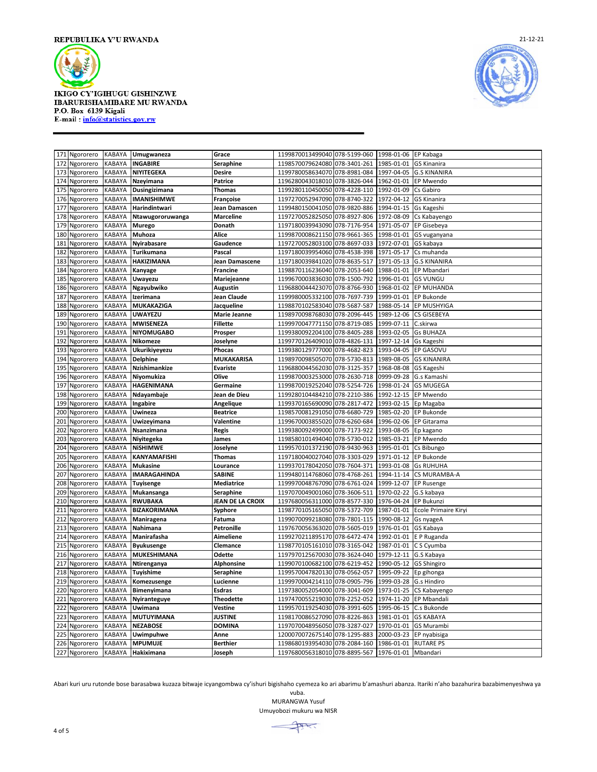



|            | 171 Ngororero          | KABAYA                  | Umugwaneza                       | Grace                   | 1199870013499040 078-5199-060                                  |              | 1998-01-06 EP Kabaga     |                             |
|------------|------------------------|-------------------------|----------------------------------|-------------------------|----------------------------------------------------------------|--------------|--------------------------|-----------------------------|
| 172        | Ngororero              | KABAYA                  | <b>INGABIRE</b>                  | Seraphine               | 1198570079624080 078-3401-261                                  |              | 1985-01-01               | <b>GS Kinanira</b>          |
| 173        | Ngororero              | KABAYA                  | NIYITEGEKA                       | Desire                  | 1199780058634070 078-8981-084                                  |              | 1997-04-05               | <b>G.S KINANIRA</b>         |
|            | 174 Ngororero          | KABAYA                  | Nzeyimana                        | Patrice                 | 1196280043018010 078-3826-044                                  |              | 1962-01-01               | EP Mwendo                   |
| 175        | Ngororero              | KABAYA                  | Dusingizimana                    | <b>Thomas</b>           | 1199280110450050 078-4228-110                                  |              | 1992-01-09               | Cs Gabiro                   |
| 176        | Ngororero              | KABAYA                  | IMANISHIMWE                      | Françoise               | 1197270052947090 078-8740-322                                  |              | 1972-04-12               | <b>GS Kinanira</b>          |
| 177        | Ngororero              | KABAYA                  | Harindintwari                    | Jean Damascen           | 1199480150041050                                               | 078-9820-886 | 1994-01-15               | Gs Kageshi                  |
| 178        | Ngororero              | KABAYA                  | Ntawugororuwanga                 | <b>Marceline</b>        | 1197270052825050                                               | 078-8927-806 | 1972-08-09               | Cs Kabayengo                |
| 179        | Ngororero              | KABAYA                  | Murego                           | Donath                  | 1197180039943090 078-7176-954                                  |              | 1971-05-07               | EP Gisebeya                 |
| 180        | Ngororero              | KABAYA                  | Muhoza                           | Alice                   | 1199870008621150 078-9661-365                                  |              | 1998-01-01               | GS vuganyana                |
| 181        | Ngororero              | KABAYA                  | Nyirabasare                      | Gaudence                | 1197270052803100 078-8697-033                                  |              | 1972-07-01               | GS kabaya                   |
| 182        | Ngororero              | KABAYA                  | Turikumana                       | Pascal                  | 1197180039954060 078-4538-398                                  |              | 1971-05-17               | Cs muhanda                  |
| 183        | Ngororero              | <b>KABAYA</b>           | <b>HAKIZIMANA</b>                | Jean Damascene          | 1197180039841020                                               | 078-8635-517 | 1971-05-13               | <b>G.S KINANIRA</b>         |
| 184        | Ngororero              | KABAYA                  | Kanyage                          | <b>Francine</b>         | 1198870116236040 078-2053-640                                  |              | 1988-01-01               | EP Mbandari                 |
| 185        | Ngororero              | KABAYA                  | Uwayezu                          | Mariejeanne             | 1199670003836030                                               | 078-1500-792 | 1996-01-01               | <b>GS VUNGU</b>             |
| 186        | Ngororero              | KABAYA                  | Ngayubwiko                       | <b>Augustin</b>         | 1196880044423070 078-8766-930                                  |              | 1968-01-02               | EP MUHANDA                  |
| 187        | Ngororero              | <b>KABAYA</b>           | Izerimana                        | Jean Claude             | 1199980005332100 078-7697-739                                  |              | 1999-01-01               | <b>EP Bukonde</b>           |
| 188        | Ngororero              | KABAYA                  | MUKAKAZIGA                       | Jacqueline              | 1198870102583040                                               | 078-5687-587 | 1988-05-14               | EP MUSHYIGA                 |
| 189        | Ngororero              | KABAYA                  | <b>UWAYEZU</b>                   | Marie Jeanne            | 1198970098768030                                               | 078-2096-445 | 1989-12-06               | <b>CS GISEBEYA</b>          |
| 190        | Ngororero              | <b>KABAYA</b>           | <b>MWISENEZA</b>                 | Fillette                | 1199970047771150                                               | 078-8719-085 | 1999-07-11               | C.skirwa                    |
| 191        | Ngororero              | KABAYA                  | <b>NIYOMUGABO</b>                | Prosper                 | 1199380092204100 078-8405-288                                  |              | 1993-02-05               | <b>Gs BUHAZA</b>            |
| 192        | Ngororero              | KABAYA                  | Nikomeze                         | Joselyne                | 1199770126409010 078-4826-131                                  |              | 1997-12-14               | Gs Kageshi                  |
| 193        | Ngororero              | KABAYA                  | Ukurikiyeyezu                    | Phocas                  | 1199380129777000 078-4682-823                                  |              | 1993-04-05               | EP GASOVU                   |
| 194        | Ngororero              | <b>KABAYA</b>           | <b>Delphine</b>                  | MUKAKARISA              | 1198970098505070 078-5730-813                                  |              | 1989-08-05               | <b>GS KINANIRA</b>          |
| 195        | Ngororero              | KABAYA                  | Nzishimankize                    | <b>Evariste</b>         | 1196880044562030 078-3125-357                                  |              | 1968-08-08               | GS Kageshi                  |
| 196        | Ngororero              | KABAYA                  | Niyomukiza                       | Olive                   | 1199870003253000                                               | 078-2630-718 | 0999-09-28               | G.s Kamashi                 |
| 197        | Ngororero              | KABAYA                  | HAGENIMANA                       | Germaine                | 1199870019252040                                               | 078-5254-726 | 1998-01-24               | <b>GS MUGEGA</b>            |
| 198        | Ngororero              | KABAYA                  | Ndayambaje                       | Jean de Dieu            | 1199280104484210                                               | 078-2210-386 | 1992-12-15               | EP Mwendo                   |
| 199        | Ngororero              | KABAYA                  | Ingabire                         | Angelique               | 1199370165690090 078-2817-472                                  |              | 1993-02-15               | Ep Magaba                   |
| 200        | Ngororero              | KABAYA                  | Uwineza                          | <b>Beatrice</b>         | 1198570081291050                                               | 078-6680-729 | 1985-02-20               | EP Bukonde                  |
|            | 201 Ngororero          | KABAYA                  | Uwizeyimana                      | Valentine               | 1199670003855020                                               | 078-6260-684 | 1996-02-06               | EP Gitarama                 |
| 202        | Ngororero              | KABAYA                  | Nsanzimana                       | Regis                   | 1199380092499000                                               | 078-7173-922 | 1993-08-05               | Ep kagano                   |
| 203        | Ngororero              | KABAYA                  | Niyitegeka                       | James                   | 1198580101494040                                               | 078-5730-012 | 1985-03-21               | EP Mwendo                   |
| 204        | Ngororero              | KABAYA                  | NiSHIMWE                         | Joselyne                | 1199570101372190                                               | 078-9430-963 | 1995-01-01               | Cs Bibungo                  |
| 205        | Ngororero              | KABAYA                  | KANYAMAFISHI                     | Thomas                  | 1197180040027040                                               | 078-3303-029 | 1971-01-12               | EP Bukonde                  |
| 206        | Ngororero              | <b>KABAYA</b>           | <b>Mukasine</b>                  | Lourance                | 1199370178042050                                               | 078-7604-371 | 1993-01-08               | <b>Gs RUHUHA</b>            |
| 207        | Ngororero              | KABAYA                  | IMARAGAHINDA                     | SABINE                  | 1199480114768060 078-4768-261                                  |              | 1994-11-14               | CS MURAMBA-A                |
| 208        | Ngororero              | KABAYA                  | <b>Tuyisenge</b>                 | Mediatrice              | 1199970048767090 078-6761-024                                  |              | 1999-12-07               | <b>EP Rusenge</b>           |
| 209        | Ngororero              | KABAYA                  | Mukansanga                       | <b>Seraphine</b>        | 1197070049001060 078-3606-511                                  |              | 1970-02-22               | G.S kabaya                  |
| 210        | Ngororero              | <b>KABAYA</b>           | <b>RWUBAKA</b>                   | JEAN DE LA CROIX        | 1197680056311000 078-8577-330                                  |              | 1976-04-24               | EP Bukunzi                  |
| 211        | Ngororero              | KABAYA                  | BIZAKORIMANA                     | Syphore                 | 1198770105165050 078-5372-709                                  |              | 1987-01-01               | Ecole Primaire Kiryi        |
| 212        | Ngororero              | KABAYA                  | Maniragena                       | Fatuma                  | 1199070099218080                                               | 078-7801-115 | 1990-08-12               | Gs nyageA                   |
| 213        | Ngororero              | <b>KABAYA</b>           | Nahimana                         | Petronille              | 1197670056363020 078-5605-019                                  |              | 1976-01-01               | GS Kabaya                   |
|            | 214 Ngororero          | KABAYA                  | Manirafasha                      | Aimeliene               | 1199270211895170 078-6472-474                                  |              | 1992-01-01               | E P Ruganda                 |
| 215<br>216 | Ngororero              | KABAYA<br>KABAYA        | <b>Byukusenge</b><br>MUKESHIMANA | Clemance<br>Odette      | 1198770105161010 078-3165-042<br>1197970125670030              | 078-3624-040 | 1987-01-01               | C S Cyumba                  |
|            | Ngororero              |                         |                                  |                         |                                                                |              | 1979-12-11               | G.S Kabaya                  |
| 217<br>218 | Ngororero              | <b>KABAYA</b><br>KABAYA | Ntirenganya<br>Tuyishime         | Alphonsine<br>Seraphine | 1199070100682100 078-6219-452<br>1199570047820130 078-0562-057 |              | 1990-05-12<br>1995-09-22 | GS Shingiro                 |
| 219        | Ngororero<br>Ngororero | KABAYA                  |                                  | Lucienne                | 1199970004214110 078-0905-796                                  |              | 1999-03-28               | Ep gihonga                  |
| 220        | Ngororero              | KABAYA                  | Komezusenge<br>Bimenyimana       | Esdras                  | 1197380052054000                                               | 078-3041-609 | 1973-01-25               | G.s Hindiro<br>CS Kabayengo |
| 221        | Ngororero              | KABAYA                  | Nyiranteguye                     | <b>Theodette</b>        | 1197470055219030 078-2252-052                                  |              | 1974-11-20               | EP Mbandali                 |
| 222        | Ngororero              | KABAYA                  | Uwimana                          | Vestine                 | 1199570119254030 078-3991-605                                  |              | 1995-06-15               | C.s Bukonde                 |
| 223        | Ngororero              | KABAYA                  | <b>MUTUYIMANA</b>                | <b>JUSTINE</b>          | 1198170086527090                                               | 078-8226-863 | 1981-01-01               | <b>GS KABAYA</b>            |
| 224        | Ngororero              | KABAYA                  | <b>NEZABOSE</b>                  | DOMINA                  | 1197070048956050                                               | 078-3287-027 | 1970-01-01               | <b>GS Murambi</b>           |
| 225        | Ngororero              | <b>KABAYA</b>           | <b>Uwimpuhwe</b>                 | Anne                    | 1200070072675140                                               | 078-1295-883 | 2000-03-23               | EP nyabisiga                |
| 226        | Ngororero              | <b>KABAYA</b>           | <b>MPUMUJE</b>                   | <b>Berthier</b>         | 1198680193954030 078-2084-160                                  |              | 1986-01-01               | <b>RUTARE PS</b>            |
| 227        | Ngororero              | KABAYA                  | Hakiximana                       | Joseph                  | 1197680056318010 078-8895-567                                  |              | 1976-01-01               | Mbandari                    |
|            |                        |                         |                                  |                         |                                                                |              |                          |                             |

Abari kuri uru rutonde bose barasabwa kuzaza bitwaje icyangombwa cy'ishuri bigishaho cyemeza ko ari abarimu b'amashuri abanza. Itariki n'aho bazahurira bazabimenyeshwa ya